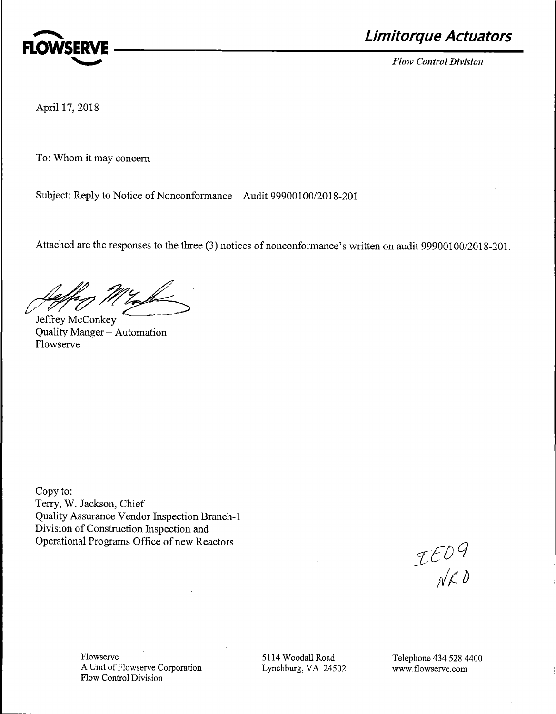

~ **Limitorque Actuators** 

April 17, 2018

To: Whom it may concern

Subject: Reply to Notice of Nonconformance - Audit 99900100/2018-201

Attached are the responses to the three (3) notices of nonconformance's written on audit 99900100/2018-201.

Letter Maybe

Jeffrey McConkey Quality Manger - Automation Flowserve

Copy to: Terry, W. Jackson, Chief Quality Assurance Vendor Inspection Branch-I Division of Construction Inspection and Operational Programs Office of new Reactors

 $\begin{array}{c}\n\mathcal{I} \in \mathcal{D}^Q \\
\mathcal{N} \mathcal{L}^D\n\end{array}$ 

Flowserve A Unit of Flowserve Corporation Flow Control Division

5114 Woodall Road Lynchburg, VA 24502 Telephone 434 528 4400 www.flowserve.com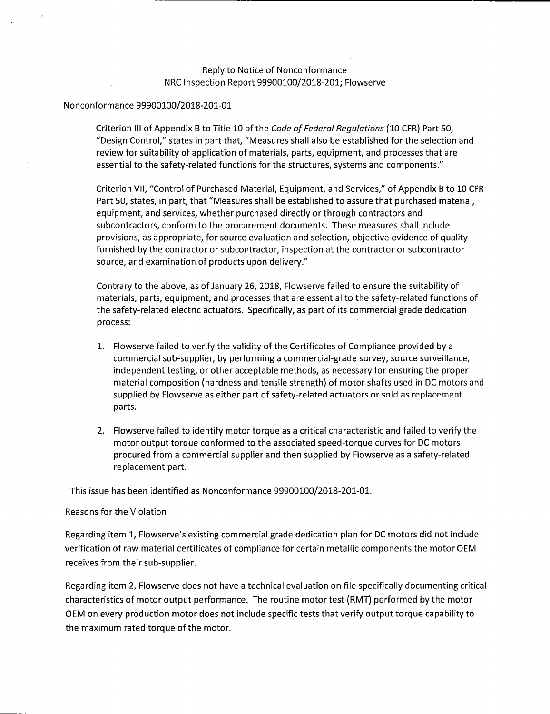# Reply to Notice of Nonconformance NRC Inspection Report 99900100/2018-201; Flowserve

### Nonconformance 99900100/2018-201-01

Criterion Ill of Appendix B to Title 10 of the *Code of Federal Regulations* (10 CFR) Part SO, "Design Control," states in part that, "Measures shall also be established for the selection and review for suitability of application of materials, parts, equipment, and processes that are essential to the safety-related functions forthe structures, systems and components."

Criterion VII, "Control of Purchased Material, Equipment, and Services," of Appendix B to 10 CFR Part SO, states, in part, that "Measures shall be established to assure that purchased material, equipment, and services, whether purchased directly or through contractors and subcontractors, conform to the procurement documents. These measures shall include provisions, as appropriate, for source evaluation and selection, objective evidence of quality furnished by the contractor or subcontractor, inspection at the contractor or subcontractor source, and examination of products upon delivery."

Contrary to the above, as of January 26, 2018, Flowserve failed to ensure the suitability of materials, parts, equipment, and processes that are essential to the safety-related functions of the safety-related electric actuators. Specifically, as part of its commercial grade dedication process:

- 1. Flowserve failed to verify the validity of the Certificates of Compliance provided by a commercial sub-supplier, by performing a commercial-grade survey, source surveillance, independent testing, or other acceptable methods, as necessary for ensuring the proper material composition (hardness and tensile strength) of motor shafts used in DC motors and supplied by Flowserve as either part of safety-related actuators or sold as replacement parts.
- 2. Flowserve failed to identify motor torque as a critical characteristic and failed to verify the motor output torque conformed to the associated speed-torque curves for DC motors procured from a commercial supplier and then supplied by Flowserve as a safety-related replacement part.

This issue has been identified as Nonconformance 99900100/2018-201-01.

### Reasons for the Violation

Regarding item 1, Flowserve's existing commercial grade dedication plan for DC motors did not include verification of raw material certificates of compliance for certain metallic components the motor OEM receives from their sub-supplier.

Regarding item 2, Flowserve does not have a technical evaluation on file specifically documenting critical characteristics of motor output performance. The routine motor test (RMT) performed by the motor OEM on every production motor does not include specific tests that verify output torque capability to the maximum rated torque of the motor.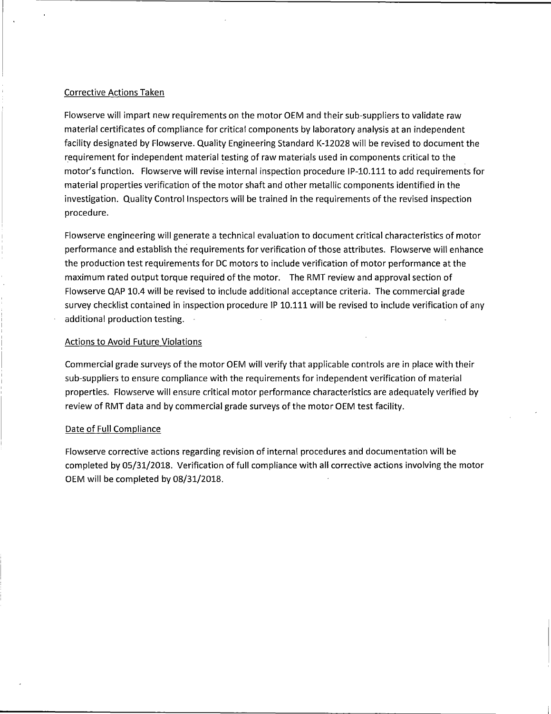### Corrective Actions Taken

Flowserve will impart new requirements on the motor OEM and their sub-suppliers to validate raw material certificates of compliance for critical components by laboratory analysis at an independent facility designated by Flowserve. Quality Engineering Standard K-12028 will be revised to document the requirement for independent material testing of raw materials used in components critical to the motor's function. Flowserve will revise internal inspection procedure IP-10.111 to add requirements for material properties verification of the motor shaft and other metallic components identified in the investigation. Quality Control Inspectors will be trained in the requirements of the revised inspection procedure.

Flowserve engineering will generate a technical evaluation to document critical characteristics of motor performance and establish the requirements for verification of those attributes. Flowserve will enhance the production test requirements for DC motors to include verification of motor performance at the maximum rated output torque required of the motor. The RMT review and approval section of Flowserve QAP 10.4 will be revised to include additional acceptance criteria. The commercial grade survey checklist contained in inspection procedure IP 10.111 will be revised to include verification of any additional production testing.

### Actions to Avoid Future Violations

Commercial grade surveys of the motor OEM will verify that applicable controls are in place with their sub-suppliers to ensure compliance with the requirements for independent verification of material properties. Flowserve will ensure critical motor performance characteristics are adequately verified by review of RMT data and by commercial grade surveys of the motor OEM test facility.

#### Date of Full Compliance

Flowserve corrective actions regarding revision of internal procedures and documentation will be completed by 05/31/2018. Verification of full compliance with all corrective actions involving the motor OEM will be completed by 08/31/2018.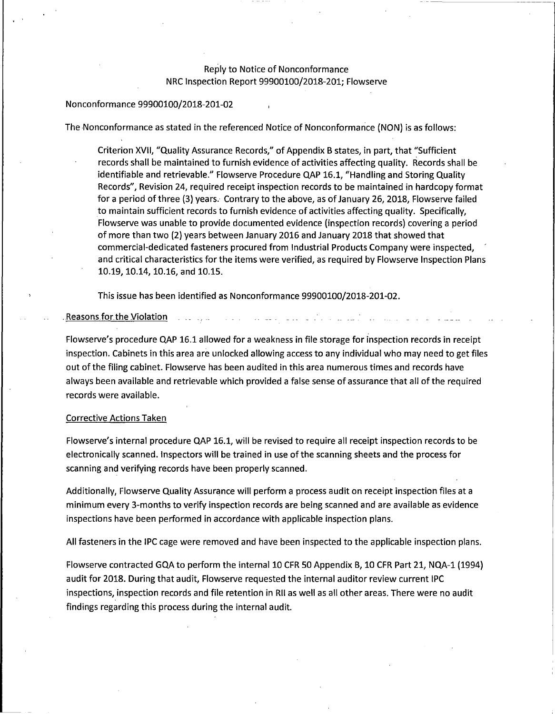# Reply to Notice of Nonconformance NRC Inspection Report 99900100/2018-201; Flowserve

#### Nonconformance 99900100/2018-201-02

The Nonconformance as stated in the referenced Notice of Nonconformance (NON) is as follows:

Criterion XVII, "Quality Assurance Records," of Appendix B states, in part, that "Sufficient records shall be maintained to furnish evidence of activities affecting quality. Records shall be identifiable and retrievable." Flowserve Procedure QAP 16.1, "Handling and Storing Quality Records", Revision 24, required receipt inspection records to be maintained in hardcopy format for a period of three (3) years. Contrary to the above, as of January 26, 2018, Flowserve failed to maintain sufficient records to furnish evidence of activities affecting quality. Specifically, Flowserve was unable to provide documented evidence (inspection records) covering a period of more than two (2) years between January 2016 and January 2018 that showed that commercial-dedicated fasteners procured from Industrial Products Company were inspected, and critical characteristics for the items were verified, as required by Flowserve Inspection Plans 10.19, 10.14, 10.16, and 10.15.

This issue has been identified as Nonconformance 99900100/2018-201-02 .

Reasons for the Violation and the sea

Flowserve's procedure QAP 16.1 allowed for a weakness in file storage for inspection records in receipt inspection. Cabinets in this area are unlocked allowing access to any individual who may need to get files out of the filing cabinet. Flowserve has been audited in this area numerous times and records have always been available and retrievable which provided a false sense of assurance that all of the required records were available.

#### Corrective Actions Taken

Flowserve's internal procedure QAP 16.1, will be revised to require all receipt inspection records to be electronically scanned. Inspectors will be trained in use of the scanning sheets and the process for scanning and verifying records have been properly scanned.

Additionally, Flowserve Quality Assurance will perform a process audit on receipt inspection files at a minimum every 3-months to verify inspection records are being scanned and are available as evidence inspections have been performed in accordance with applicable inspection plans.

All fasteners in the IPC cage were removed and have been inspected to the applicable inspection plans.

Flowserve contracted GQA to perform the internal 10 CFR 50 Appendix B, 10 CFR Part 21, NQA-1 (1994) audit for 2018. During that audit, Flowserve requested the internal auditor review current IPC inspections, inspection records and file retention in RII as well as all other areas. There were no audit findings regarding this process during the internal audit.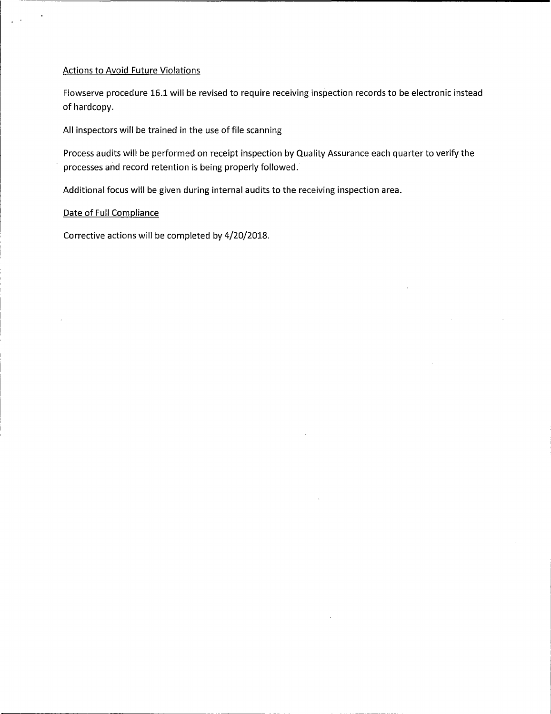## Actions to Avoid Future Violations

Flowserve procedure 16.1 will be revised to require receiving inspection records to be electronic instead of hardcopy.

All inspectors will be trained in the use of file scanning

Process audits will be performed on receipt inspection by Quality Assurance each quarter to verify the processes and record retention is being properly followed.

Additional focus will be given during internal audits to the receiving inspection area.

### Date of Full Compliance

Corrective actions will be completed by 4/20/2018.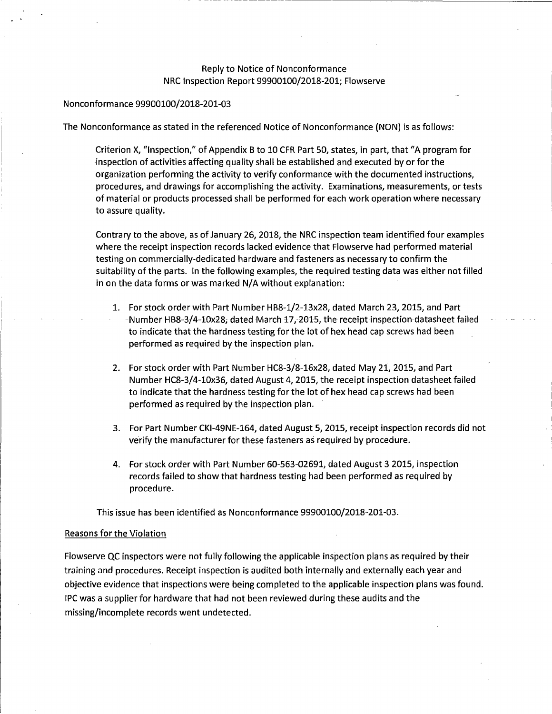## Reply to Notice of Nonconformance NRC Inspection Report 99900100/2018-201; Flowserve

---------------------------------------~---

### Nonconformance 99900100/2018-201-03

The Nonconformance as stated in the referenced Notice of Nonconformance **(NON)** is as follows:

Criterion X, "Inspection," of Appendix B to 10 CFR Part 50, states, in part, that "A program for -inspection of activities affecting quality shall be established and executed by or for the organization performing the activity to verify conformance with the documented instructions, procedures, and drawings for accomplishing the activity. Examinations, measurements, or tests of material or products processed shall be performed for each work operation where necessary to assure quality.

Contrary to the above, as of January 26, 2018, the NRC inspection team identified four examples where the receipt inspection records lacked evidence that Flowserve had performed material testing on commercially-dedicated hardware and fasteners as necessary to confirm the suitability of the parts. In the following examples, the required testing data was either not filled in on the data forms or was marked N/A without explanation:

- 1. For stock order with Part Number HB8-1/2-13x28, dated March 23, 2015, and Part -Number HB8-3/4-10x28, dated March 17, 2015, the receipt inspection datasheet failed to indicate that the hardness testing for the lot of hex head cap screws had been performed as required by the inspection plan.
- 2. For stock order with Part Number HC8-3/8-16x28, dated May 2i, 2015, and Part Number HC8-3/4-10x36, dated August 4, 2015, the receipt inspection datasheet failed to indicate that the hardness testing for the lot of hex head cap screws had been performed as required by the inspection plan.
- 3. For Part Number CKl-49NE-164, dated August 5, 2015, receipt inspection records did not verify the manufacturer for these fasteners as required by procedure.
- 4. For stock order with Part Number 60-563-02691, dated August 3 2015, inspection records failed to show that hardness testing had been performed as required by procedure.

This issue has been identified as Nonconformance 99900100/2018-201-03.

#### Reasons for the Violation

Flowserve QC inspectors were not fully following the applicable inspection plans as required by their training and procedures. Receipt inspection is audited both internally and externally each year and objective evidence that inspections were being completed to the applicable inspection plans was found. IPC was a supplier for hardware that had not been reviewed during these audits and the missing/incomplete records went undetected.